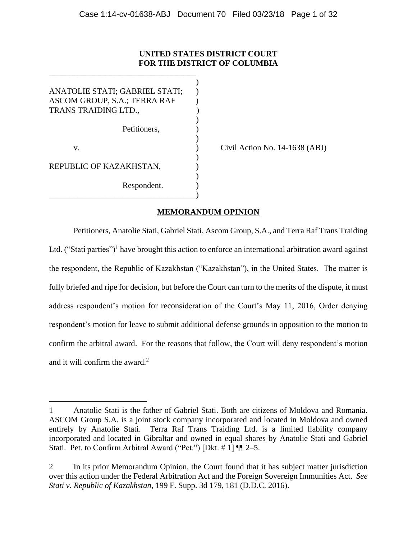# **UNITED STATES DISTRICT COURT FOR THE DISTRICT OF COLUMBIA**

)

)

)

)

ANATOLIE STATI; GABRIEL STATI; ) ASCOM GROUP, S.A.; TERRA RAF ) TRANS TRAIDING LTD., )  $\overline{\phantom{a}}$ Petitioners. v. **(a)** Civil Action No. 14-1638 (ABJ) REPUBLIC OF KAZAKHSTAN, Respondent. ) \_\_\_\_\_\_\_\_\_\_\_\_\_\_\_\_\_\_\_\_\_\_\_\_\_\_\_\_\_\_\_\_\_\_\_\_)

 $\overline{a}$ 

\_\_\_\_\_\_\_\_\_\_\_\_\_\_\_\_\_\_\_\_\_\_\_\_\_\_\_\_\_\_\_\_\_\_\_\_

# **MEMORANDUM OPINION**

Petitioners, Anatolie Stati, Gabriel Stati, Ascom Group, S.A., and Terra Raf Trans Traiding Ltd. ("Stati parties")<sup>1</sup> have brought this action to enforce an international arbitration award against the respondent, the Republic of Kazakhstan ("Kazakhstan"), in the United States. The matter is fully briefed and ripe for decision, but before the Court can turn to the merits of the dispute, it must address respondent's motion for reconsideration of the Court's May 11, 2016, Order denying respondent's motion for leave to submit additional defense grounds in opposition to the motion to confirm the arbitral award. For the reasons that follow, the Court will deny respondent's motion and it will confirm the award.<sup>2</sup>

<sup>1</sup> Anatolie Stati is the father of Gabriel Stati. Both are citizens of Moldova and Romania. ASCOM Group S.A. is a joint stock company incorporated and located in Moldova and owned entirely by Anatolie Stati. Terra Raf Trans Traiding Ltd. is a limited liability company incorporated and located in Gibraltar and owned in equal shares by Anatolie Stati and Gabriel Stati. Pet. to Confirm Arbitral Award ("Pet.") [Dkt. # 1] ¶¶ 2–5.

<sup>2</sup> In its prior Memorandum Opinion, the Court found that it has subject matter jurisdiction over this action under the Federal Arbitration Act and the Foreign Sovereign Immunities Act. *See Stati v. Republic of Kazakhstan*, 199 F. Supp. 3d 179, 181 (D.D.C. 2016).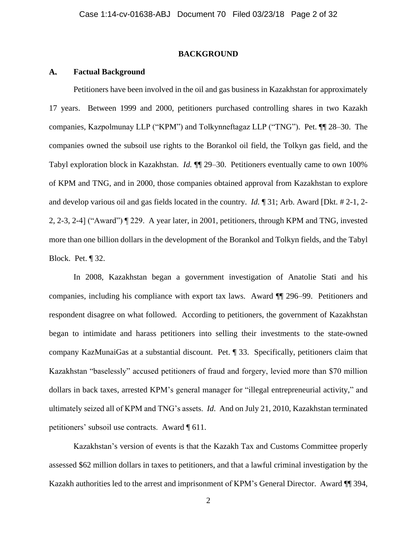### **BACKGROUND**

### **A. Factual Background**

Petitioners have been involved in the oil and gas business in Kazakhstan for approximately 17 years. Between 1999 and 2000, petitioners purchased controlling shares in two Kazakh companies, Kazpolmunay LLP ("KPM") and Tolkynneftagaz LLP ("TNG"). Pet. ¶¶ 28–30. The companies owned the subsoil use rights to the Borankol oil field, the Tolkyn gas field, and the Tabyl exploration block in Kazakhstan. *Id.* ¶¶ 29–30. Petitioners eventually came to own 100% of KPM and TNG, and in 2000, those companies obtained approval from Kazakhstan to explore and develop various oil and gas fields located in the country. *Id.* ¶ 31; Arb. Award [Dkt. # 2-1, 2- 2, 2-3, 2-4] ("Award") ¶ 229. A year later, in 2001, petitioners, through KPM and TNG, invested more than one billion dollars in the development of the Borankol and Tolkyn fields, and the Tabyl Block. Pet. ¶ 32.

In 2008, Kazakhstan began a government investigation of Anatolie Stati and his companies, including his compliance with export tax laws. Award ¶¶ 296–99. Petitioners and respondent disagree on what followed. According to petitioners, the government of Kazakhstan began to intimidate and harass petitioners into selling their investments to the state-owned company KazMunaiGas at a substantial discount. Pet. ¶ 33. Specifically, petitioners claim that Kazakhstan "baselessly" accused petitioners of fraud and forgery, levied more than \$70 million dollars in back taxes, arrested KPM's general manager for "illegal entrepreneurial activity," and ultimately seized all of KPM and TNG's assets. *Id*. And on July 21, 2010, Kazakhstan terminated petitioners' subsoil use contracts. Award ¶ 611.

Kazakhstan's version of events is that the Kazakh Tax and Customs Committee properly assessed \$62 million dollars in taxes to petitioners, and that a lawful criminal investigation by the Kazakh authorities led to the arrest and imprisonment of KPM's General Director. Award ¶¶ 394,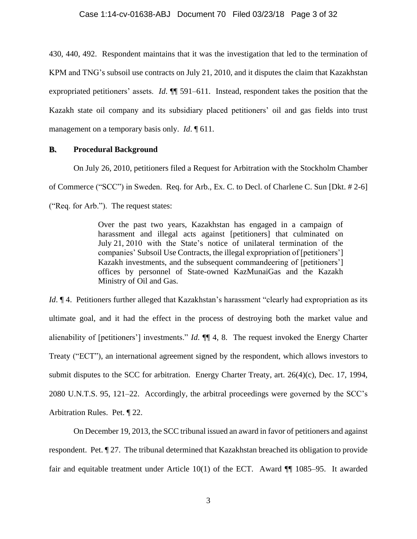430, 440, 492. Respondent maintains that it was the investigation that led to the termination of KPM and TNG's subsoil use contracts on July 21, 2010, and it disputes the claim that Kazakhstan expropriated petitioners' assets. *Id*. ¶¶ 591–611. Instead, respondent takes the position that the Kazakh state oil company and its subsidiary placed petitioners' oil and gas fields into trust management on a temporary basis only. *Id*. ¶ 611.

### **B. Procedural Background**

On July 26, 2010, petitioners filed a Request for Arbitration with the Stockholm Chamber of Commerce ("SCC") in Sweden. Req. for Arb., Ex. C. to Decl. of Charlene C. Sun [Dkt. # 2-6] ("Req. for Arb."). The request states:

> Over the past two years, Kazakhstan has engaged in a campaign of harassment and illegal acts against [petitioners] that culminated on July 21, 2010 with the State's notice of unilateral termination of the companies' Subsoil Use Contracts, the illegal expropriation of [petitioners'] Kazakh investments, and the subsequent commandeering of [petitioners'] offices by personnel of State-owned KazMunaiGas and the Kazakh Ministry of Oil and Gas.

*Id*.  $\P$  4. Petitioners further alleged that Kazakhstan's harassment "clearly had expropriation as its ultimate goal, and it had the effect in the process of destroying both the market value and alienability of [petitioners'] investments." *Id*. ¶¶ 4, 8. The request invoked the Energy Charter Treaty ("ECT"), an international agreement signed by the respondent, which allows investors to submit disputes to the SCC for arbitration. Energy Charter Treaty, art. 26(4)(c), Dec. 17, 1994, 2080 U.N.T.S. 95, 121–22. Accordingly, the arbitral proceedings were governed by the SCC's Arbitration Rules. Pet. ¶ 22.

On December 19, 2013, the SCC tribunal issued an award in favor of petitioners and against respondent. Pet. ¶ 27. The tribunal determined that Kazakhstan breached its obligation to provide fair and equitable treatment under Article 10(1) of the ECT. Award ¶¶ 1085–95. It awarded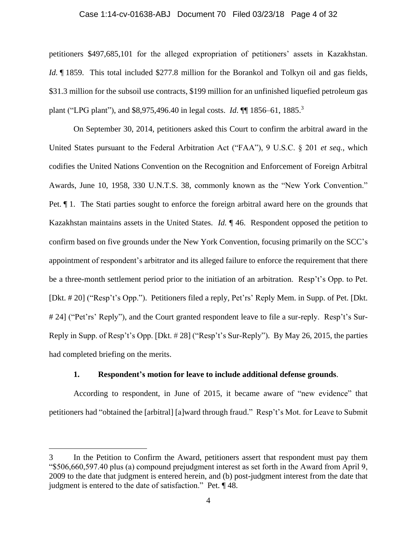### Case 1:14-cv-01638-ABJ Document 70 Filed 03/23/18 Page 4 of 32

petitioners \$497,685,101 for the alleged expropriation of petitioners' assets in Kazakhstan. *Id.*  $\parallel$  1859. This total included \$277.8 million for the Borankol and Tolkyn oil and gas fields, \$31.3 million for the subsoil use contracts, \$199 million for an unfinished liquefied petroleum gas plant ("LPG plant"), and \$8,975,496.40 in legal costs. *Id*. ¶¶ 1856–61, 1885.<sup>3</sup>

On September 30, 2014, petitioners asked this Court to confirm the arbitral award in the United States pursuant to the Federal Arbitration Act ("FAA"), 9 U.S.C. § 201 *et seq.*, which codifies the United Nations Convention on the Recognition and Enforcement of Foreign Arbitral Awards, June 10, 1958, 330 U.N.T.S. 38, commonly known as the "New York Convention." Pet. ¶ 1. The Stati parties sought to enforce the foreign arbitral award here on the grounds that Kazakhstan maintains assets in the United States. *Id.* ¶ 46. Respondent opposed the petition to confirm based on five grounds under the New York Convention, focusing primarily on the SCC's appointment of respondent's arbitrator and its alleged failure to enforce the requirement that there be a three-month settlement period prior to the initiation of an arbitration. Resp't's Opp. to Pet. [Dkt. # 20] ("Resp't's Opp."). Petitioners filed a reply, Pet'rs' Reply Mem. in Supp. of Pet. [Dkt. # 24] ("Pet'rs' Reply"), and the Court granted respondent leave to file a sur-reply. Resp't's Sur-Reply in Supp. of Resp't's Opp. [Dkt. # 28] ("Resp't's Sur-Reply"). By May 26, 2015, the parties had completed briefing on the merits.

# **1. Respondent's motion for leave to include additional defense grounds**.

According to respondent, in June of 2015, it became aware of "new evidence" that petitioners had "obtained the [arbitral] [a]ward through fraud." Resp't's Mot. for Leave to Submit

<sup>3</sup> In the Petition to Confirm the Award, petitioners assert that respondent must pay them "\$506,660,597.40 plus (a) compound prejudgment interest as set forth in the Award from April 9, 2009 to the date that judgment is entered herein, and (b) post-judgment interest from the date that judgment is entered to the date of satisfaction." Pet. ¶ 48.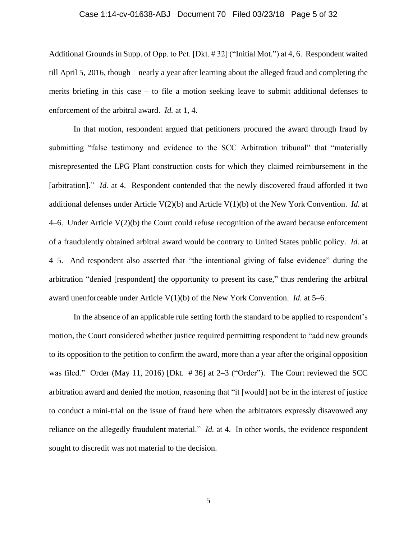### Case 1:14-cv-01638-ABJ Document 70 Filed 03/23/18 Page 5 of 32

Additional Grounds in Supp. of Opp. to Pet. [Dkt. # 32] ("Initial Mot.") at 4, 6. Respondent waited till April 5, 2016, though – nearly a year after learning about the alleged fraud and completing the merits briefing in this case – to file a motion seeking leave to submit additional defenses to enforcement of the arbitral award. *Id.* at 1, 4.

In that motion, respondent argued that petitioners procured the award through fraud by submitting "false testimony and evidence to the SCC Arbitration tribunal" that "materially misrepresented the LPG Plant construction costs for which they claimed reimbursement in the [arbitration]." *Id.* at 4. Respondent contended that the newly discovered fraud afforded it two additional defenses under Article V(2)(b) and Article V(1)(b) of the New York Convention. *Id.* at 4–6. Under Article  $V(2)(b)$  the Court could refuse recognition of the award because enforcement of a fraudulently obtained arbitral award would be contrary to United States public policy. *Id.* at 4–5. And respondent also asserted that "the intentional giving of false evidence" during the arbitration "denied [respondent] the opportunity to present its case," thus rendering the arbitral award unenforceable under Article V(1)(b) of the New York Convention. *Id.* at 5–6.

In the absence of an applicable rule setting forth the standard to be applied to respondent's motion, the Court considered whether justice required permitting respondent to "add new grounds to its opposition to the petition to confirm the award, more than a year after the original opposition was filed." Order (May 11, 2016) [Dkt. #36] at 2–3 ("Order"). The Court reviewed the SCC arbitration award and denied the motion, reasoning that "it [would] not be in the interest of justice to conduct a mini-trial on the issue of fraud here when the arbitrators expressly disavowed any reliance on the allegedly fraudulent material." *Id.* at 4. In other words, the evidence respondent sought to discredit was not material to the decision.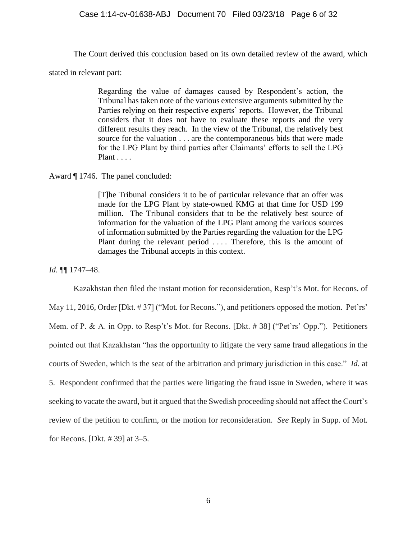### Case 1:14-cv-01638-ABJ Document 70 Filed 03/23/18 Page 6 of 32

The Court derived this conclusion based on its own detailed review of the award, which

stated in relevant part:

Regarding the value of damages caused by Respondent's action, the Tribunal has taken note of the various extensive arguments submitted by the Parties relying on their respective experts' reports. However, the Tribunal considers that it does not have to evaluate these reports and the very different results they reach. In the view of the Tribunal, the relatively best source for the valuation . . . are the contemporaneous bids that were made for the LPG Plant by third parties after Claimants' efforts to sell the LPG Plant . . . .

Award ¶ 1746. The panel concluded:

[T]he Tribunal considers it to be of particular relevance that an offer was made for the LPG Plant by state-owned KMG at that time for USD 199 million. The Tribunal considers that to be the relatively best source of information for the valuation of the LPG Plant among the various sources of information submitted by the Parties regarding the valuation for the LPG Plant during the relevant period .... Therefore, this is the amount of damages the Tribunal accepts in this context.

*Id.* ¶¶ 1747–48.

Kazakhstan then filed the instant motion for reconsideration, Resp't's Mot. for Recons. of May 11, 2016, Order [Dkt. # 37] ("Mot. for Recons."), and petitioners opposed the motion. Pet'rs' Mem. of P. & A. in Opp. to Resp't's Mot. for Recons. [Dkt. # 38] ("Pet'rs' Opp."). Petitioners pointed out that Kazakhstan "has the opportunity to litigate the very same fraud allegations in the courts of Sweden, which is the seat of the arbitration and primary jurisdiction in this case." *Id.* at 5. Respondent confirmed that the parties were litigating the fraud issue in Sweden, where it was seeking to vacate the award, but it argued that the Swedish proceeding should not affect the Court's review of the petition to confirm, or the motion for reconsideration. *See* Reply in Supp. of Mot. for Recons. [Dkt. # 39] at 3–5.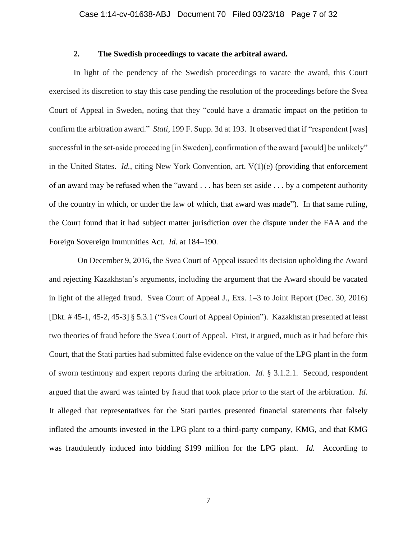# **2. The Swedish proceedings to vacate the arbitral award.**

In light of the pendency of the Swedish proceedings to vacate the award, this Court exercised its discretion to stay this case pending the resolution of the proceedings before the Svea Court of Appeal in Sweden, noting that they "could have a dramatic impact on the petition to confirm the arbitration award." *Stati*, 199 F. Supp. 3d at 193. It observed that if "respondent [was] successful in the set-aside proceeding [in Sweden], confirmation of the award [would] be unlikely" in the United States. *Id.*, citing New York Convention, art. V(1)(e) (providing that enforcement of an award may be refused when the "award . . . has been set aside . . . by a competent authority of the country in which, or under the law of which, that award was made"). In that same ruling, the Court found that it had subject matter jurisdiction over the dispute under the FAA and the Foreign Sovereign Immunities Act. *Id.* at 184–190*.*

 On December 9, 2016, the Svea Court of Appeal issued its decision upholding the Award and rejecting Kazakhstan's arguments, including the argument that the Award should be vacated in light of the alleged fraud. Svea Court of Appeal J., Exs. 1–3 to Joint Report (Dec. 30, 2016) [Dkt. # 45-1, 45-2, 45-3] § 5.3.1 ("Svea Court of Appeal Opinion"). Kazakhstan presented at least two theories of fraud before the Svea Court of Appeal. First, it argued, much as it had before this Court, that the Stati parties had submitted false evidence on the value of the LPG plant in the form of sworn testimony and expert reports during the arbitration. *Id.* § 3.1.2.1. Second, respondent argued that the award was tainted by fraud that took place prior to the start of the arbitration. *Id.* It alleged that representatives for the Stati parties presented financial statements that falsely inflated the amounts invested in the LPG plant to a third-party company, KMG, and that KMG was fraudulently induced into bidding \$199 million for the LPG plant. *Id.* According to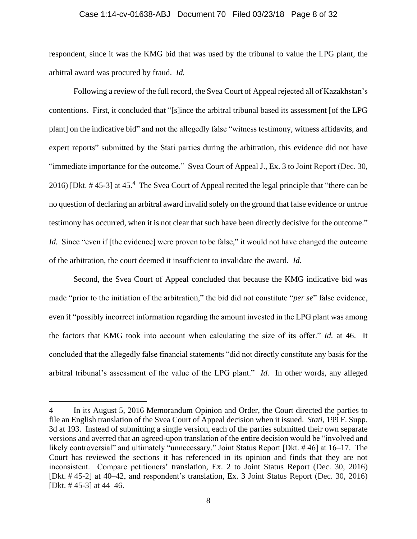#### Case 1:14-cv-01638-ABJ Document 70 Filed 03/23/18 Page 8 of 32

respondent, since it was the KMG bid that was used by the tribunal to value the LPG plant, the arbitral award was procured by fraud. *Id.*

Following a review of the full record, the Svea Court of Appeal rejected all of Kazakhstan's contentions. First, it concluded that "[s]ince the arbitral tribunal based its assessment [of the LPG plant] on the indicative bid" and not the allegedly false "witness testimony, witness affidavits, and expert reports" submitted by the Stati parties during the arbitration, this evidence did not have "immediate importance for the outcome." Svea Court of Appeal J., Ex. 3 to Joint Report (Dec. 30, 2016) [Dkt. #45-3] at 45.<sup>4</sup> The Svea Court of Appeal recited the legal principle that "there can be no question of declaring an arbitral award invalid solely on the ground that false evidence or untrue testimony has occurred, when it is not clear that such have been directly decisive for the outcome." *Id.* Since "even if [the evidence] were proven to be false," it would not have changed the outcome of the arbitration, the court deemed it insufficient to invalidate the award. *Id.* 

Second, the Svea Court of Appeal concluded that because the KMG indicative bid was made "prior to the initiation of the arbitration," the bid did not constitute "*per se*" false evidence, even if "possibly incorrect information regarding the amount invested in the LPG plant was among the factors that KMG took into account when calculating the size of its offer." *Id.* at 46. It concluded that the allegedly false financial statements "did not directly constitute any basis for the arbitral tribunal's assessment of the value of the LPG plant." *Id.* In other words, any alleged

<sup>4</sup> In its August 5, 2016 Memorandum Opinion and Order, the Court directed the parties to file an English translation of the Svea Court of Appeal decision when it issued. *Stati*, 199 F. Supp. 3d at 193. Instead of submitting a single version, each of the parties submitted their own separate versions and averred that an agreed-upon translation of the entire decision would be "involved and likely controversial" and ultimately "unnecessary." Joint Status Report [Dkt. # 46] at 16–17. The Court has reviewed the sections it has referenced in its opinion and finds that they are not inconsistent. Compare petitioners' translation, Ex. 2 to Joint Status Report (Dec. 30, 2016) [Dkt. # 45-2] at 40–42, and respondent's translation, Ex. 3 Joint Status Report (Dec. 30, 2016) [Dkt. # 45-3] at 44–46.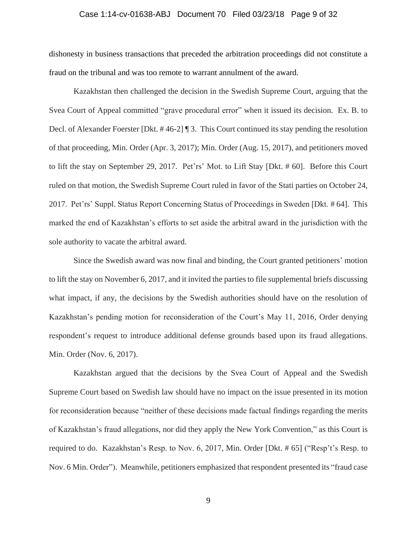### Case 1:14-cv-01638-ABJ Document 70 Filed 03/23/18 Page 9 of 32

dishonesty in business transactions that preceded the arbitration proceedings did not constitute a fraud on the tribunal and was too remote to warrant annulment of the award.

Kazakhstan then challenged the decision in the Swedish Supreme Court, arguing that the Svea Court of Appeal committed "grave procedural error" when it issued its decision. Ex. B. to Decl. of Alexander Foerster [Dkt. # 46-2] ¶ 3. This Court continued its stay pending the resolution of that proceeding, Min. Order (Apr. 3, 2017); Min. Order (Aug. 15, 2017), and petitioners moved to lift the stay on September 29, 2017. Pet'rs' Mot. to Lift Stay [Dkt. # 60]. Before this Court ruled on that motion, the Swedish Supreme Court ruled in favor of the Stati parties on October 24, 2017. Pet'rs' Suppl. Status Report Concerning Status of Proceedings in Sweden [Dkt. # 64]. This marked the end of Kazakhstan's efforts to set aside the arbitral award in the jurisdiction with the sole authority to vacate the arbitral award.

Since the Swedish award was now final and binding, the Court granted petitioners' motion to lift the stay on November 6, 2017, and it invited the parties to file supplemental briefs discussing what impact, if any, the decisions by the Swedish authorities should have on the resolution of Kazakhstan's pending motion for reconsideration of the Court's May 11, 2016, Order denying respondent's request to introduce additional defense grounds based upon its fraud allegations. Min. Order (Nov. 6, 2017).

Kazakhstan argued that the decisions by the Svea Court of Appeal and the Swedish Supreme Court based on Swedish law should have no impact on the issue presented in its motion for reconsideration because "neither of these decisions made factual findings regarding the merits of Kazakhstan's fraud allegations, nor did they apply the New York Convention," as this Court is required to do. Kazakhstan's Resp. to Nov. 6, 2017, Min. Order [Dkt. # 65] ("Resp't's Resp. to Nov. 6 Min. Order"). Meanwhile, petitioners emphasized that respondent presented its "fraud case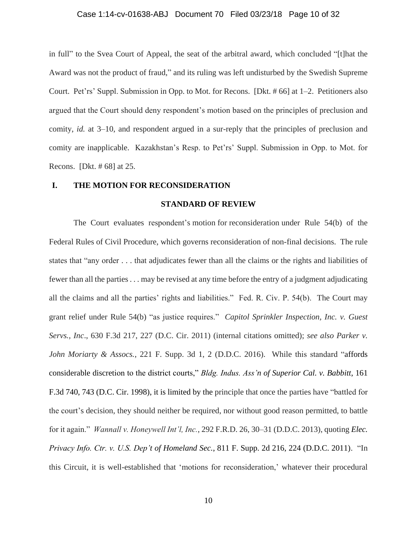#### Case 1:14-cv-01638-ABJ Document 70 Filed 03/23/18 Page 10 of 32

in full" to the Svea Court of Appeal, the seat of the arbitral award, which concluded "[t]hat the Award was not the product of fraud," and its ruling was left undisturbed by the Swedish Supreme Court. Pet'rs' Suppl. Submission in Opp. to Mot. for Recons. [Dkt. # 66] at 1–2. Petitioners also argued that the Court should deny respondent's motion based on the principles of preclusion and comity, *id.* at 3–10, and respondent argued in a sur-reply that the principles of preclusion and comity are inapplicable. Kazakhstan's Resp. to Pet'rs' Suppl. Submission in Opp. to Mot. for Recons. [Dkt. # 68] at 25.

### **I. THE MOTION FOR RECONSIDERATION**

#### **STANDARD OF REVIEW**

The Court evaluates respondent's motion for reconsideration under Rule 54(b) of the Federal Rules of Civil Procedure, which governs reconsideration of non-final decisions. The rule states that "any order . . . that adjudicates fewer than all the claims or the rights and liabilities of fewer than all the parties . . . may be revised at any time before the entry of a judgment adjudicating all the claims and all the parties' rights and liabilities." Fed. R. Civ. P. 54(b). The Court may grant relief under Rule 54(b) "as justice requires." *Capitol Sprinkler Inspection, Inc. v. Guest Servs., Inc*., 630 F.3d 217, 227 (D.C. Cir. 2011) (internal citations omitted); *see also Parker v. John Moriarty & Assocs.*, 221 F. Supp. 3d 1, 2 (D.D.C. 2016). While this standard "affords considerable discretion to the district courts," *Bldg. Indus. Ass'n of Superior Cal. v. Babbitt*, 161 F.3d 740, 743 (D.C. Cir. 1998), it is limited by the principle that once the parties have "battled for the court's decision, they should neither be required, nor without good reason permitted, to battle for it again." *Wannall v. Honeywell Int'l, Inc.*, 292 F.R.D. 26, 30–31 (D.D.C. 2013), quoting *Elec. Privacy Info. Ctr. v. U.S. Dep't of Homeland Sec.*, 811 F. Supp. 2d 216, 224 (D.D.C. 2011). "In this Circuit, it is well-established that 'motions for reconsideration,' whatever their procedural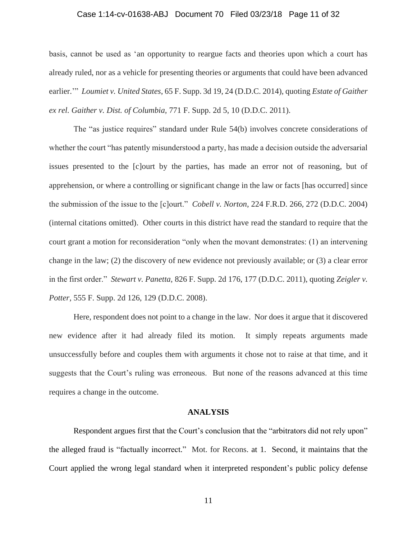# Case 1:14-cv-01638-ABJ Document 70 Filed 03/23/18 Page 11 of 32

basis, cannot be used as 'an opportunity to reargue facts and theories upon which a court has already ruled, nor as a vehicle for presenting theories or arguments that could have been advanced earlier.'" *Loumiet v. United States*, 65 F. Supp. 3d 19, 24 (D.D.C. 2014), quoting *Estate of Gaither ex rel. Gaither v. Dist. of Columbia,* 771 F. Supp. 2d 5, 10 (D.D.C. 2011).

The "as justice requires" standard under Rule 54(b) involves concrete considerations of whether the court "has patently misunderstood a party, has made a decision outside the adversarial issues presented to the [c]ourt by the parties, has made an error not of reasoning, but of apprehension, or where a controlling or significant change in the law or facts [has occurred] since the submission of the issue to the [c]ourt." *Cobell v. Norton*, 224 F.R.D. 266, 272 (D.D.C. 2004) (internal citations omitted). Other courts in this district have read the standard to require that the court grant a motion for reconsideration "only when the movant demonstrates: (1) an intervening change in the law; (2) the discovery of new evidence not previously available; or (3) a clear error in the first order." *Stewart v. Panetta,* 826 F. Supp. 2d 176, 177 (D.D.C. 2011), quoting *Zeigler v. Potter,* 555 F. Supp. 2d 126, 129 (D.D.C. 2008).

Here, respondent does not point to a change in the law. Nor does it argue that it discovered new evidence after it had already filed its motion. It simply repeats arguments made unsuccessfully before and couples them with arguments it chose not to raise at that time, and it suggests that the Court's ruling was erroneous. But none of the reasons advanced at this time requires a change in the outcome.

### **ANALYSIS**

Respondent argues first that the Court's conclusion that the "arbitrators did not rely upon" the alleged fraud is "factually incorrect." Mot. for Recons. at 1. Second, it maintains that the Court applied the wrong legal standard when it interpreted respondent's public policy defense

11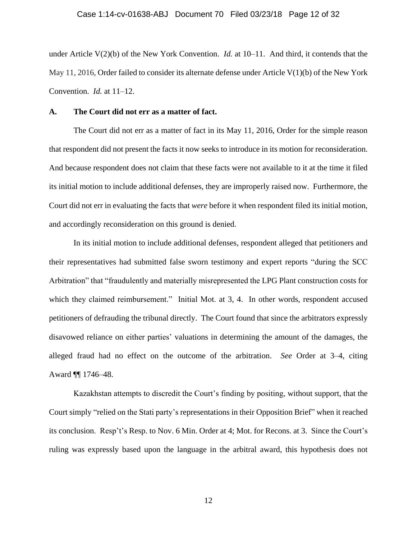under Article V(2)(b) of the New York Convention. *Id.* at 10–11. And third, it contends that the May 11, 2016, Order failed to consider its alternate defense under Article  $V(1)(b)$  of the New York Convention. *Id.* at 11–12.

### **A. The Court did not err as a matter of fact.**

The Court did not err as a matter of fact in its May 11, 2016, Order for the simple reason that respondent did not present the facts it now seeks to introduce in its motion for reconsideration. And because respondent does not claim that these facts were not available to it at the time it filed its initial motion to include additional defenses, they are improperly raised now. Furthermore, the Court did not err in evaluating the facts that *were* before it when respondent filed its initial motion, and accordingly reconsideration on this ground is denied.

In its initial motion to include additional defenses, respondent alleged that petitioners and their representatives had submitted false sworn testimony and expert reports "during the SCC Arbitration" that "fraudulently and materially misrepresented the LPG Plant construction costs for which they claimed reimbursement." Initial Mot. at 3, 4. In other words, respondent accused petitioners of defrauding the tribunal directly. The Court found that since the arbitrators expressly disavowed reliance on either parties' valuations in determining the amount of the damages, the alleged fraud had no effect on the outcome of the arbitration. *See* Order at 3–4, citing Award ¶¶ 1746–48.

Kazakhstan attempts to discredit the Court's finding by positing, without support, that the Court simply "relied on the Stati party's representations in their Opposition Brief" when it reached its conclusion. Resp't's Resp. to Nov. 6 Min. Order at 4; Mot. for Recons. at 3. Since the Court's ruling was expressly based upon the language in the arbitral award, this hypothesis does not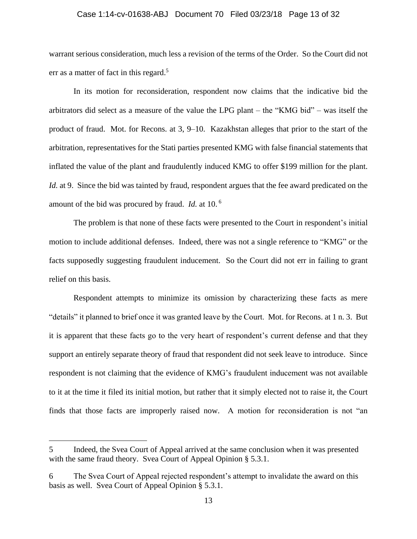### Case 1:14-cv-01638-ABJ Document 70 Filed 03/23/18 Page 13 of 32

warrant serious consideration, much less a revision of the terms of the Order. So the Court did not err as a matter of fact in this regard.<sup>5</sup>

In its motion for reconsideration, respondent now claims that the indicative bid the arbitrators did select as a measure of the value the LPG plant – the "KMG bid" – was itself the product of fraud. Mot. for Recons. at 3, 9–10. Kazakhstan alleges that prior to the start of the arbitration, representatives for the Stati parties presented KMG with false financial statements that inflated the value of the plant and fraudulently induced KMG to offer \$199 million for the plant. *Id.* at 9. Since the bid was tainted by fraud, respondent argues that the fee award predicated on the amount of the bid was procured by fraud. *Id.* at 10. <sup>6</sup>

The problem is that none of these facts were presented to the Court in respondent's initial motion to include additional defenses. Indeed, there was not a single reference to "KMG" or the facts supposedly suggesting fraudulent inducement. So the Court did not err in failing to grant relief on this basis.

Respondent attempts to minimize its omission by characterizing these facts as mere "details" it planned to brief once it was granted leave by the Court. Mot. for Recons. at 1 n. 3. But it is apparent that these facts go to the very heart of respondent's current defense and that they support an entirely separate theory of fraud that respondent did not seek leave to introduce. Since respondent is not claiming that the evidence of KMG's fraudulent inducement was not available to it at the time it filed its initial motion, but rather that it simply elected not to raise it, the Court finds that those facts are improperly raised now. A motion for reconsideration is not "an

<sup>5</sup> Indeed, the Svea Court of Appeal arrived at the same conclusion when it was presented with the same fraud theory. Svea Court of Appeal Opinion § 5.3.1.

<sup>6</sup> The Svea Court of Appeal rejected respondent's attempt to invalidate the award on this basis as well. Svea Court of Appeal Opinion § 5.3.1.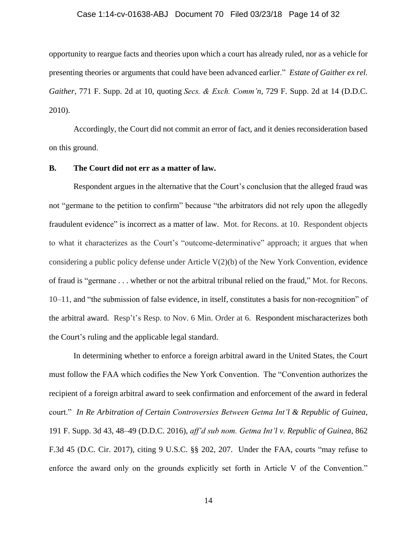### Case 1:14-cv-01638-ABJ Document 70 Filed 03/23/18 Page 14 of 32

opportunity to reargue facts and theories upon which a court has already ruled, nor as a vehicle for presenting theories or arguments that could have been advanced earlier." *Estate of Gaither ex rel. Gaither*, 771 F. Supp. 2d at 10, quoting *Secs. & Exch. Comm'n*, 729 F. Supp. 2d at 14 (D.D.C. 2010).

Accordingly, the Court did not commit an error of fact, and it denies reconsideration based on this ground.

### **B. The Court did not err as a matter of law.**

Respondent argues in the alternative that the Court's conclusion that the alleged fraud was not "germane to the petition to confirm" because "the arbitrators did not rely upon the allegedly fraudulent evidence" is incorrect as a matter of law. Mot. for Recons. at 10. Respondent objects to what it characterizes as the Court's "outcome-determinative" approach; it argues that when considering a public policy defense under Article V(2)(b) of the New York Convention, evidence of fraud is "germane . . . whether or not the arbitral tribunal relied on the fraud," Mot. for Recons. 10–11, and "the submission of false evidence, in itself, constitutes a basis for non-recognition" of the arbitral award. Resp't's Resp. to Nov. 6 Min. Order at 6. Respondent mischaracterizes both the Court's ruling and the applicable legal standard.

In determining whether to enforce a foreign arbitral award in the United States, the Court must follow the FAA which codifies the New York Convention. The "Convention authorizes the recipient of a foreign arbitral award to seek confirmation and enforcement of the award in federal court." *In Re Arbitration of Certain Controversies Between Getma Int'l & Republic of Guinea*, 191 F. Supp. 3d 43, 48–49 (D.D.C. 2016), *aff'd sub nom. Getma Int'l v. Republic of Guinea*, 862 F.3d 45 (D.C. Cir. 2017), citing 9 U.S.C. §§ 202, 207. Under the FAA, courts "may refuse to enforce the award only on the grounds explicitly set forth in Article V of the Convention."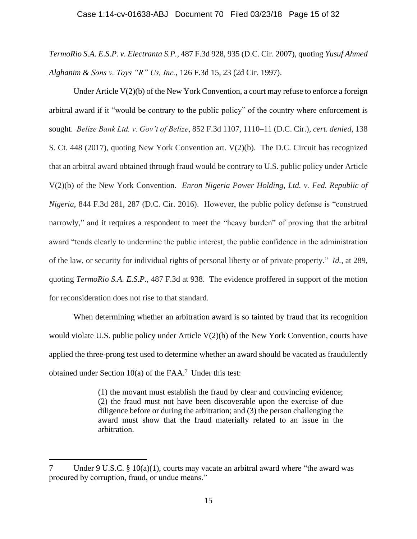*TermoRio S.A. E.S.P. v. Electranta S.P.*, 487 F.3d 928, 935 (D.C. Cir. 2007), quoting *Yusuf Ahmed Alghanim & Sons v. Toys "R" Us, Inc.*, 126 F.3d 15, 23 (2d Cir. 1997).

Under Article V(2)(b) of the New York Convention, a court may refuse to enforce a foreign arbitral award if it "would be contrary to the public policy" of the country where enforcement is sought. *Belize Bank Ltd. v. Gov't of Belize*, 852 F.3d 1107, 1110–11 (D.C. Cir.), *cert. denied,* 138 S. Ct. 448 (2017), quoting New York Convention art. V(2)(b). The D.C. Circuit has recognized that an arbitral award obtained through fraud would be contrary to U.S. public policy under Article V(2)(b) of the New York Convention. *Enron Nigeria Power Holding, Ltd. v. Fed. Republic of Nigeria*, 844 F.3d 281, 287 (D.C. Cir. 2016). However, the public policy defense is "construed narrowly," and it requires a respondent to meet the "heavy burden" of proving that the arbitral award "tends clearly to undermine the public interest, the public confidence in the administration of the law, or security for individual rights of personal liberty or of private property." *Id.*, at 289, quoting *TermoRio S.A. E.S.P.*, 487 F.3d at 938. The evidence proffered in support of the motion for reconsideration does not rise to that standard.

When determining whether an arbitration award is so tainted by fraud that its recognition would violate U.S. public policy under Article  $V(2)(b)$  of the New York Convention, courts have applied the three-prong test used to determine whether an award should be vacated as fraudulently obtained under Section  $10(a)$  of the FAA.<sup>7</sup> Under this test:

> (1) the movant must establish the fraud by clear and convincing evidence; (2) the fraud must not have been discoverable upon the exercise of due diligence before or during the arbitration; and (3) the person challenging the award must show that the fraud materially related to an issue in the arbitration.

<sup>7</sup> Under 9 U.S.C. § 10(a)(1), courts may vacate an arbitral award where "the award was procured by corruption, fraud, or undue means."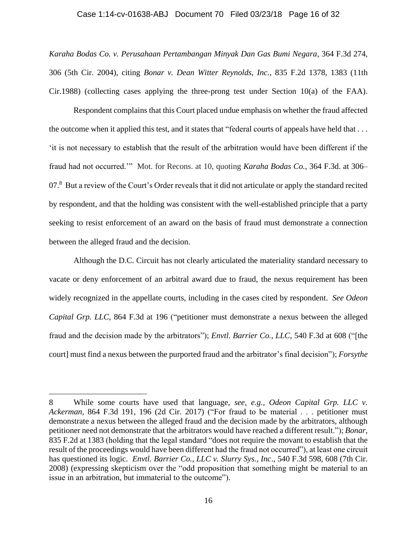#### Case 1:14-cv-01638-ABJ Document 70 Filed 03/23/18 Page 16 of 32

*Karaha Bodas Co. v. Perusahaan Pertambangan Minyak Dan Gas Bumi Negara*, 364 F.3d 274, 306 (5th Cir. 2004), citing *Bonar v. Dean Witter Reynolds, Inc.*, 835 F.2d 1378, 1383 (11th Cir.1988) (collecting cases applying the three-prong test under Section 10(a) of the FAA).

Respondent complains that this Court placed undue emphasis on whether the fraud affected the outcome when it applied this test, and it states that "federal courts of appeals have held that . . . 'it is not necessary to establish that the result of the arbitration would have been different if the fraud had not occurred.'" Mot. for Recons. at 10, quoting *Karaha Bodas Co.*, 364 F.3d. at 306– 07.<sup>8</sup> But a review of the Court's Order reveals that it did not articulate or apply the standard recited by respondent, and that the holding was consistent with the well-established principle that a party seeking to resist enforcement of an award on the basis of fraud must demonstrate a connection between the alleged fraud and the decision.

Although the D.C. Circuit has not clearly articulated the materiality standard necessary to vacate or deny enforcement of an arbitral award due to fraud, the nexus requirement has been widely recognized in the appellate courts, including in the cases cited by respondent. *See Odeon Capital Grp. LLC*, 864 F.3d at 196 ("petitioner must demonstrate a nexus between the alleged fraud and the decision made by the arbitrators"); *Envtl. Barrier Co., LLC*, 540 F.3d at 608 ("[the court] must find a nexus between the purported fraud and the arbitrator's final decision"); *Forsythe* 

<sup>8</sup> While some courts have used that language, *see, e.g., Odeon Capital Grp. LLC v. Ackerman,* 864 F.3d 191, 196 (2d Cir. 2017) ("For fraud to be material . . . petitioner must demonstrate a nexus between the alleged fraud and the decision made by the arbitrators, although petitioner need not demonstrate that the arbitrators would have reached a different result."); *Bonar,*  835 F.2d at 1383 (holding that the legal standard "does not require the movant to establish that the result of the proceedings would have been different had the fraud not occurred"), at least one circuit has questioned its logic. *Envtl. Barrier Co., LLC v. Slurry Sys., Inc*., 540 F.3d 598, 608 (7th Cir. 2008) (expressing skepticism over the "odd proposition that something might be material to an issue in an arbitration, but immaterial to the outcome").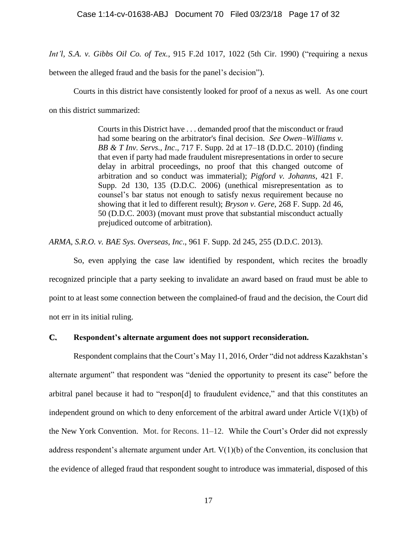*Int'l, S.A. v. Gibbs Oil Co. of Tex.*, 915 F.2d 1017, 1022 (5th Cir. 1990) ("requiring a nexus

between the alleged fraud and the basis for the panel's decision").

Courts in this district have consistently looked for proof of a nexus as well. As one court on this district summarized:

> Courts in this District have . . . demanded proof that the misconduct or fraud had some bearing on the arbitrator's final decision. *See Owen–Williams v. BB & T Inv. Servs., Inc*., 717 F. Supp. 2d at 17–18 (D.D.C. 2010) (finding that even if party had made fraudulent misrepresentations in order to secure delay in arbitral proceedings, no proof that this changed outcome of arbitration and so conduct was immaterial); *Pigford v. Johanns*, 421 F. Supp. 2d 130, 135 (D.D.C. 2006) (unethical misrepresentation as to counsel's bar status not enough to satisfy nexus requirement because no showing that it led to different result); *Bryson v. Gere*, 268 F. Supp. 2d 46, 50 (D.D.C. 2003) (movant must prove that substantial misconduct actually prejudiced outcome of arbitration).

*ARMA, S.R.O. v. BAE Sys. Overseas, Inc*., 961 F. Supp. 2d 245, 255 (D.D.C. 2013).

So, even applying the case law identified by respondent, which recites the broadly recognized principle that a party seeking to invalidate an award based on fraud must be able to point to at least some connection between the complained-of fraud and the decision, the Court did not err in its initial ruling.

**C. Respondent's alternate argument does not support reconsideration.** 

Respondent complains that the Court's May 11, 2016, Order "did not address Kazakhstan's alternate argument" that respondent was "denied the opportunity to present its case" before the arbitral panel because it had to "respon[d] to fraudulent evidence," and that this constitutes an independent ground on which to deny enforcement of the arbitral award under Article  $V(1)(b)$  of the New York Convention. Mot. for Recons. 11–12. While the Court's Order did not expressly address respondent's alternate argument under Art. V(1)(b) of the Convention, its conclusion that the evidence of alleged fraud that respondent sought to introduce was immaterial, disposed of this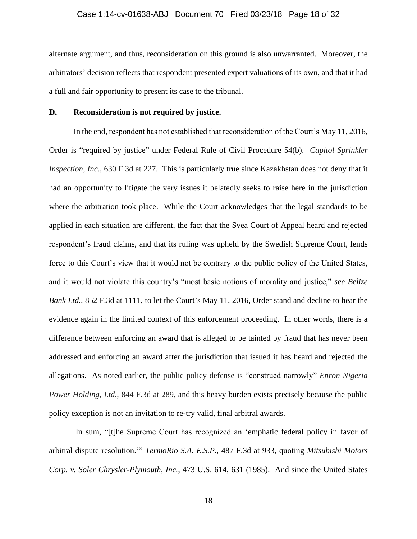# Case 1:14-cv-01638-ABJ Document 70 Filed 03/23/18 Page 18 of 32

alternate argument, and thus, reconsideration on this ground is also unwarranted. Moreover, the arbitrators' decision reflects that respondent presented expert valuations of its own, and that it had a full and fair opportunity to present its case to the tribunal.

# **D. Reconsideration is not required by justice.**

In the end, respondent has not established that reconsideration of the Court's May 11, 2016, Order is "required by justice" under Federal Rule of Civil Procedure 54(b). *Capitol Sprinkler Inspection, Inc.*, 630 F.3d at 227. This is particularly true since Kazakhstan does not deny that it had an opportunity to litigate the very issues it belatedly seeks to raise here in the jurisdiction where the arbitration took place. While the Court acknowledges that the legal standards to be applied in each situation are different, the fact that the Svea Court of Appeal heard and rejected respondent's fraud claims, and that its ruling was upheld by the Swedish Supreme Court, lends force to this Court's view that it would not be contrary to the public policy of the United States, and it would not violate this country's "most basic notions of morality and justice," *see Belize Bank Ltd.*, 852 F.3d at 1111, to let the Court's May 11, 2016, Order stand and decline to hear the evidence again in the limited context of this enforcement proceeding. In other words, there is a difference between enforcing an award that is alleged to be tainted by fraud that has never been addressed and enforcing an award after the jurisdiction that issued it has heard and rejected the allegations. As noted earlier, the public policy defense is "construed narrowly" *Enron Nigeria Power Holding, Ltd., 844 F.3d at 289, and this heavy burden exists precisely because the public* policy exception is not an invitation to re-try valid, final arbitral awards.

In sum, "[t]he Supreme Court has recognized an 'emphatic federal policy in favor of arbitral dispute resolution.'" *TermoRio S.A. E.S.P.*, 487 F.3d at 933, quoting *Mitsubishi Motors Corp. v. Soler Chrysler-Plymouth, Inc.,* 473 U.S. 614, 631 (1985). And since the United States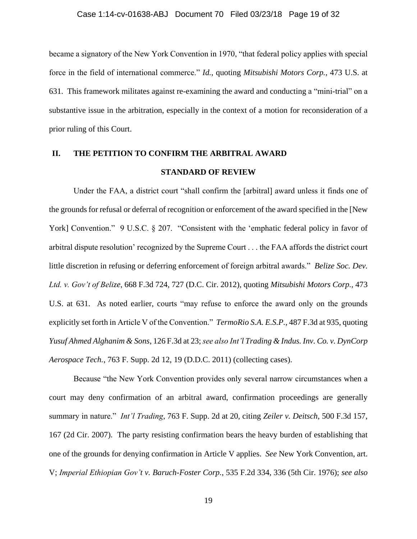became a signatory of the New York Convention in 1970, "that federal policy applies with special force in the field of international commerce." *Id.*, quoting *Mitsubishi Motors Corp.*, 473 U.S. at 631. This framework militates against re-examining the award and conducting a "mini-trial" on a substantive issue in the arbitration, especially in the context of a motion for reconsideration of a prior ruling of this Court.

# **II. THE PETITION TO CONFIRM THE ARBITRAL AWARD STANDARD OF REVIEW**

Under the FAA, a district court "shall confirm the [arbitral] award unless it finds one of the grounds for refusal or deferral of recognition or enforcement of the award specified in the [New York] Convention." 9 U.S.C. § 207. "Consistent with the 'emphatic federal policy in favor of arbitral dispute resolution' recognized by the Supreme Court . . . the FAA affords the district court little discretion in refusing or deferring enforcement of foreign arbitral awards." *Belize Soc. Dev. Ltd. v. Gov't of Belize*, 668 F.3d 724, 727 (D.C. Cir. 2012), quoting *Mitsubishi Motors Corp.*, 473 U.S. at 631. As noted earlier, courts "may refuse to enforce the award only on the grounds explicitly set forth in Article V of the Convention." *TermoRio S.A. E.S.P.*, 487 F.3d at 935, quoting *Yusuf Ahmed Alghanim & Sons*, 126 F.3d at 23; *see also Int'l Trading & Indus. Inv. Co. v. DynCorp Aerospace Tech.*, 763 F. Supp. 2d 12, 19 (D.D.C. 2011) (collecting cases).

Because "the New York Convention provides only several narrow circumstances when a court may deny confirmation of an arbitral award, confirmation proceedings are generally summary in nature." *Int'l Trading*, 763 F. Supp. 2d at 20, citing *Zeiler v. Deitsch*, 500 F.3d 157, 167 (2d Cir. 2007). The party resisting confirmation bears the heavy burden of establishing that one of the grounds for denying confirmation in Article V applies. *See* New York Convention, art. V; *Imperial Ethiopian Gov't v. Baruch-Foster Corp.*, 535 F.2d 334, 336 (5th Cir. 1976); *see also*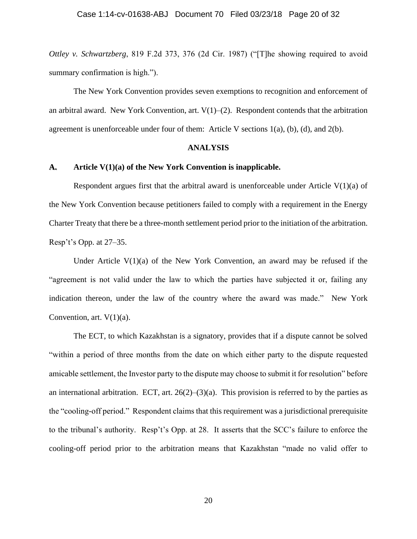*Ottley v. Schwartzberg*, 819 F.2d 373, 376 (2d Cir. 1987) ("[T]he showing required to avoid summary confirmation is high.").

The New York Convention provides seven exemptions to recognition and enforcement of an arbitral award. New York Convention, art.  $V(1)$ –(2). Respondent contends that the arbitration agreement is unenforceable under four of them: Article V sections 1(a), (b), (d), and 2(b).

### **ANALYSIS**

### **A. Article V(1)(a) of the New York Convention is inapplicable.**

Respondent argues first that the arbitral award is unenforceable under Article  $V(1)(a)$  of the New York Convention because petitioners failed to comply with a requirement in the Energy Charter Treaty that there be a three-month settlement period prior to the initiation of the arbitration. Resp't's Opp. at 27–35.

Under Article  $V(1)(a)$  of the New York Convention, an award may be refused if the "agreement is not valid under the law to which the parties have subjected it or, failing any indication thereon, under the law of the country where the award was made." New York Convention, art.  $V(1)(a)$ .

The ECT, to which Kazakhstan is a signatory, provides that if a dispute cannot be solved "within a period of three months from the date on which either party to the dispute requested amicable settlement, the Investor party to the dispute may choose to submit it for resolution" before an international arbitration. ECT, art.  $26(2)$ – $(3)(a)$ . This provision is referred to by the parties as the "cooling-off period." Respondent claims that this requirement was a jurisdictional prerequisite to the tribunal's authority. Resp't's Opp. at 28. It asserts that the SCC's failure to enforce the cooling-off period prior to the arbitration means that Kazakhstan "made no valid offer to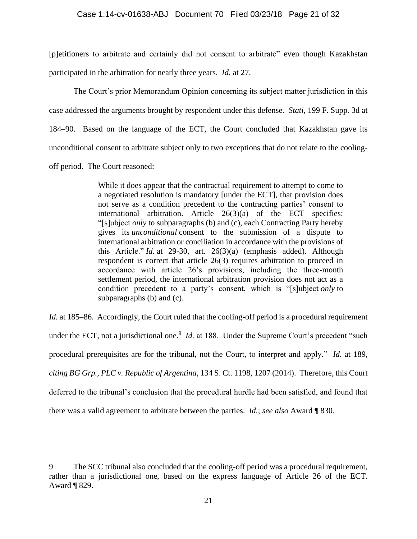[p]etitioners to arbitrate and certainly did not consent to arbitrate" even though Kazakhstan participated in the arbitration for nearly three years. *Id.* at 27.

The Court's prior Memorandum Opinion concerning its subject matter jurisdiction in this case addressed the arguments brought by respondent under this defense. *Stati*, 199 F. Supp. 3d at 184–90. Based on the language of the ECT, the Court concluded that Kazakhstan gave its unconditional consent to arbitrate subject only to two exceptions that do not relate to the coolingoff period. The Court reasoned:

> While it does appear that the contractual requirement to attempt to come to a negotiated resolution is mandatory [under the ECT], that provision does not serve as a condition precedent to the contracting parties' consent to international arbitration. Article 26(3)(a) of the ECT specifies: "[s]ubject *only* to subparagraphs (b) and (c), each Contracting Party hereby gives its *unconditional* consent to the submission of a dispute to international arbitration or conciliation in accordance with the provisions of this Article." *Id.* at 29-30, art. 26(3)(a) (emphasis added). Although respondent is correct that article 26(3) requires arbitration to proceed in accordance with article 26's provisions, including the three-month settlement period, the international arbitration provision does not act as a condition precedent to a party's consent, which is "[s]ubject *only* to subparagraphs (b) and (c).

*Id.* at 185–86. Accordingly, the Court ruled that the cooling-off period is a procedural requirement under the ECT, not a jurisdictional one.<sup>9</sup> *Id.* at 188. Under the Supreme Court's precedent "such procedural prerequisites are for the tribunal, not the Court, to interpret and apply." *Id.* at 189, *citing BG Grp., PLC v. Republic of Argentina*, 134 S. Ct. 1198, 1207 (2014). Therefore, this Court deferred to the tribunal's conclusion that the procedural hurdle had been satisfied, and found that there was a valid agreement to arbitrate between the parties. *Id.*; *see also* Award ¶ 830.

<sup>9</sup> The SCC tribunal also concluded that the cooling-off period was a procedural requirement, rather than a jurisdictional one, based on the express language of Article 26 of the ECT. Award ¶ 829.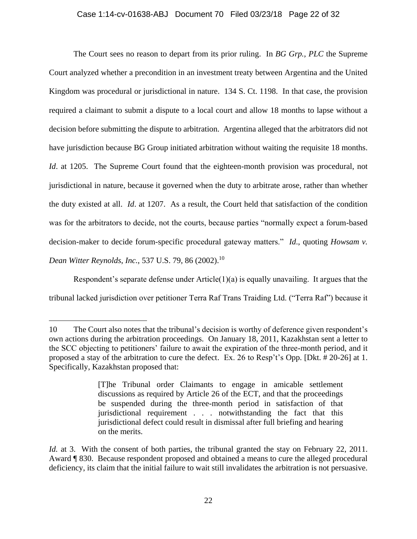# Case 1:14-cv-01638-ABJ Document 70 Filed 03/23/18 Page 22 of 32

The Court sees no reason to depart from its prior ruling. In *BG Grp., PLC* the Supreme Court analyzed whether a precondition in an investment treaty between Argentina and the United Kingdom was procedural or jurisdictional in nature. 134 S. Ct. 1198. In that case, the provision required a claimant to submit a dispute to a local court and allow 18 months to lapse without a decision before submitting the dispute to arbitration. Argentina alleged that the arbitrators did not have jurisdiction because BG Group initiated arbitration without waiting the requisite 18 months. *Id.* at 1205. The Supreme Court found that the eighteen-month provision was procedural, not jurisdictional in nature, because it governed when the duty to arbitrate arose, rather than whether the duty existed at all. *Id*. at 1207. As a result, the Court held that satisfaction of the condition was for the arbitrators to decide, not the courts, because parties "normally expect a forum-based decision-maker to decide forum-specific procedural gateway matters." *Id*., quoting *Howsam v. Dean Witter Reynolds, Inc., 537 U.S. 79, 86 (2002).*<sup>10</sup>

Respondent's separate defense under Article(1)(a) is equally unavailing. It argues that the tribunal lacked jurisdiction over petitioner Terra Raf Trans Traiding Ltd. ("Terra Raf") because it

<sup>10</sup> The Court also notes that the tribunal's decision is worthy of deference given respondent's own actions during the arbitration proceedings. On January 18, 2011, Kazakhstan sent a letter to the SCC objecting to petitioners' failure to await the expiration of the three-month period, and it proposed a stay of the arbitration to cure the defect. Ex. 26 to Resp't's Opp. [Dkt. # 20-26] at 1. Specifically, Kazakhstan proposed that:

<sup>[</sup>T]he Tribunal order Claimants to engage in amicable settlement discussions as required by Article 26 of the ECT, and that the proceedings be suspended during the three-month period in satisfaction of that jurisdictional requirement . . . notwithstanding the fact that this jurisdictional defect could result in dismissal after full briefing and hearing on the merits.

*Id.* at 3. With the consent of both parties, the tribunal granted the stay on February 22, 2011. Award ¶ 830. Because respondent proposed and obtained a means to cure the alleged procedural deficiency, its claim that the initial failure to wait still invalidates the arbitration is not persuasive.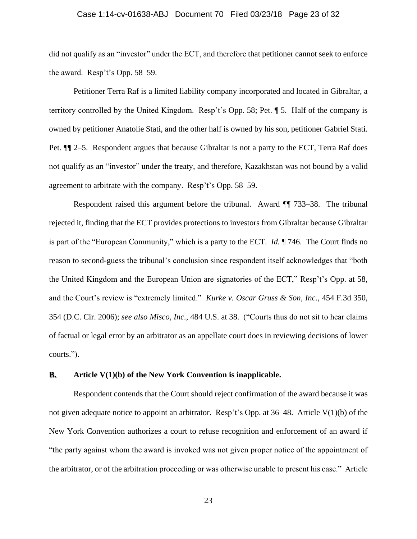# Case 1:14-cv-01638-ABJ Document 70 Filed 03/23/18 Page 23 of 32

did not qualify as an "investor" under the ECT, and therefore that petitioner cannot seek to enforce the award. Resp't's Opp. 58–59.

Petitioner Terra Raf is a limited liability company incorporated and located in Gibraltar, a territory controlled by the United Kingdom. Resp't's Opp. 58; Pet. ¶ 5. Half of the company is owned by petitioner Anatolie Stati, and the other half is owned by his son, petitioner Gabriel Stati. Pet. ¶¶ 2–5. Respondent argues that because Gibraltar is not a party to the ECT, Terra Raf does not qualify as an "investor" under the treaty, and therefore, Kazakhstan was not bound by a valid agreement to arbitrate with the company. Resp't's Opp. 58–59.

Respondent raised this argument before the tribunal. Award ¶¶ 733–38. The tribunal rejected it, finding that the ECT provides protections to investors from Gibraltar because Gibraltar is part of the "European Community," which is a party to the ECT. *Id.* ¶ 746. The Court finds no reason to second-guess the tribunal's conclusion since respondent itself acknowledges that "both the United Kingdom and the European Union are signatories of the ECT," Resp't's Opp. at 58, and the Court's review is "extremely limited." *Kurke v. Oscar Gruss & Son, Inc*., 454 F.3d 350, 354 (D.C. Cir. 2006); *see also Misco, Inc.*, 484 U.S. at 38. ("Courts thus do not sit to hear claims of factual or legal error by an arbitrator as an appellate court does in reviewing decisions of lower courts.").

# **B. Article V(1)(b) of the New York Convention is inapplicable.**

Respondent contends that the Court should reject confirmation of the award because it was not given adequate notice to appoint an arbitrator. Resp't's Opp. at 36–48. Article V(1)(b) of the New York Convention authorizes a court to refuse recognition and enforcement of an award if "the party against whom the award is invoked was not given proper notice of the appointment of the arbitrator, or of the arbitration proceeding or was otherwise unable to present his case." Article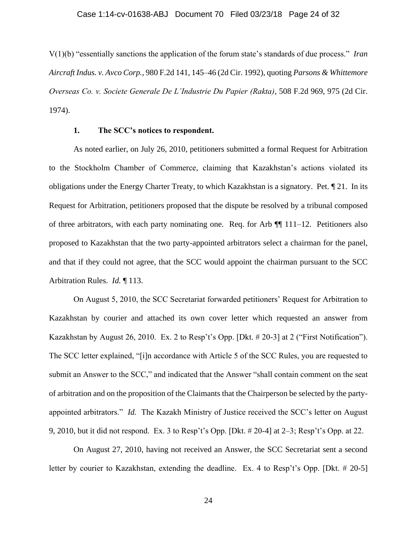V(1)(b) "essentially sanctions the application of the forum state's standards of due process." *Iran Aircraft Indus. v. Avco Corp.*, 980 F.2d 141, 145–46 (2d Cir. 1992), quoting *Parsons & Whittemore Overseas Co. v. Societe Generale De L'Industrie Du Papier (Rakta)*, 508 F.2d 969, 975 (2d Cir. 1974).

### **1. The SCC's notices to respondent.**

As noted earlier, on July 26, 2010, petitioners submitted a formal Request for Arbitration to the Stockholm Chamber of Commerce, claiming that Kazakhstan's actions violated its obligations under the Energy Charter Treaty, to which Kazakhstan is a signatory. Pet. ¶ 21. In its Request for Arbitration, petitioners proposed that the dispute be resolved by a tribunal composed of three arbitrators, with each party nominating one. Req. for Arb ¶¶ 111–12. Petitioners also proposed to Kazakhstan that the two party-appointed arbitrators select a chairman for the panel, and that if they could not agree, that the SCC would appoint the chairman pursuant to the SCC Arbitration Rules. *Id.* ¶ 113.

On August 5, 2010, the SCC Secretariat forwarded petitioners' Request for Arbitration to Kazakhstan by courier and attached its own cover letter which requested an answer from Kazakhstan by August 26, 2010. Ex. 2 to Resp't's Opp. [Dkt. # 20-3] at 2 ("First Notification"). The SCC letter explained, "[i]n accordance with Article 5 of the SCC Rules, you are requested to submit an Answer to the SCC," and indicated that the Answer "shall contain comment on the seat of arbitration and on the proposition of the Claimants that the Chairperson be selected by the partyappointed arbitrators." *Id.* The Kazakh Ministry of Justice received the SCC's letter on August 9, 2010, but it did not respond. Ex. 3 to Resp't's Opp. [Dkt. # 20-4] at 2–3; Resp't's Opp. at 22.

On August 27, 2010, having not received an Answer, the SCC Secretariat sent a second letter by courier to Kazakhstan, extending the deadline. Ex. 4 to Resp't's Opp. [Dkt. # 20-5]

24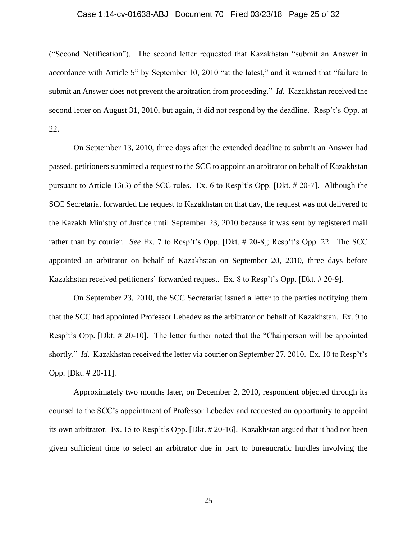# Case 1:14-cv-01638-ABJ Document 70 Filed 03/23/18 Page 25 of 32

("Second Notification"). The second letter requested that Kazakhstan "submit an Answer in accordance with Article 5" by September 10, 2010 "at the latest," and it warned that "failure to submit an Answer does not prevent the arbitration from proceeding." *Id.* Kazakhstan received the second letter on August 31, 2010, but again, it did not respond by the deadline. Resp't's Opp. at 22.

On September 13, 2010, three days after the extended deadline to submit an Answer had passed, petitioners submitted a request to the SCC to appoint an arbitrator on behalf of Kazakhstan pursuant to Article 13(3) of the SCC rules. Ex. 6 to Resp't's Opp. [Dkt. # 20-7]. Although the SCC Secretariat forwarded the request to Kazakhstan on that day, the request was not delivered to the Kazakh Ministry of Justice until September 23, 2010 because it was sent by registered mail rather than by courier. *See* Ex. 7 to Resp't's Opp. [Dkt. # 20-8]; Resp't's Opp. 22. The SCC appointed an arbitrator on behalf of Kazakhstan on September 20, 2010, three days before Kazakhstan received petitioners' forwarded request. Ex. 8 to Resp't's Opp. [Dkt. # 20-9].

On September 23, 2010, the SCC Secretariat issued a letter to the parties notifying them that the SCC had appointed Professor Lebedev as the arbitrator on behalf of Kazakhstan. Ex. 9 to Resp't's Opp. [Dkt. # 20-10]. The letter further noted that the "Chairperson will be appointed shortly." *Id.* Kazakhstan received the letter via courier on September 27, 2010. Ex. 10 to Resp't's Opp. [Dkt. # 20-11].

Approximately two months later, on December 2, 2010, respondent objected through its counsel to the SCC's appointment of Professor Lebedev and requested an opportunity to appoint its own arbitrator. Ex. 15 to Resp't's Opp. [Dkt. # 20-16]. Kazakhstan argued that it had not been given sufficient time to select an arbitrator due in part to bureaucratic hurdles involving the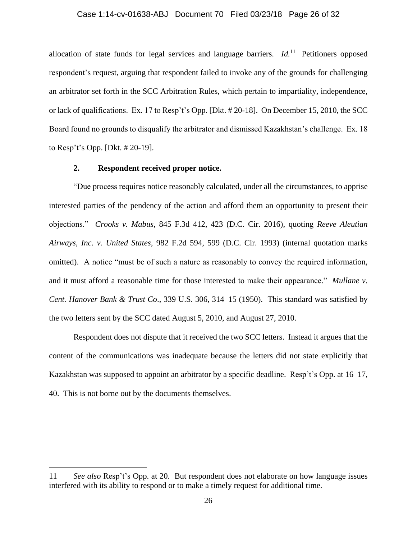# Case 1:14-cv-01638-ABJ Document 70 Filed 03/23/18 Page 26 of 32

allocation of state funds for legal services and language barriers. *Id.*<sup>11</sup> Petitioners opposed respondent's request, arguing that respondent failed to invoke any of the grounds for challenging an arbitrator set forth in the SCC Arbitration Rules, which pertain to impartiality, independence, or lack of qualifications. Ex. 17 to Resp't's Opp. [Dkt. # 20-18]. On December 15, 2010, the SCC Board found no grounds to disqualify the arbitrator and dismissed Kazakhstan's challenge. Ex. 18 to Resp't's Opp. [Dkt. # 20-19].

### **2. Respondent received proper notice.**

 $\overline{a}$ 

"Due process requires notice reasonably calculated, under all the circumstances, to apprise interested parties of the pendency of the action and afford them an opportunity to present their objections." *Crooks v. Mabus*, 845 F.3d 412, 423 (D.C. Cir. 2016), quoting *Reeve Aleutian Airways, Inc. v. United States*, 982 F.2d 594, 599 (D.C. Cir. 1993) (internal quotation marks omitted). A notice "must be of such a nature as reasonably to convey the required information, and it must afford a reasonable time for those interested to make their appearance." *Mullane v. Cent. Hanover Bank & Trust Co*., 339 U.S. 306, 314–15 (1950). This standard was satisfied by the two letters sent by the SCC dated August 5, 2010, and August 27, 2010.

Respondent does not dispute that it received the two SCC letters. Instead it argues that the content of the communications was inadequate because the letters did not state explicitly that Kazakhstan was supposed to appoint an arbitrator by a specific deadline. Resp't's Opp. at 16–17, 40. This is not borne out by the documents themselves.

<sup>11</sup> *See also* Resp't's Opp. at 20. But respondent does not elaborate on how language issues interfered with its ability to respond or to make a timely request for additional time.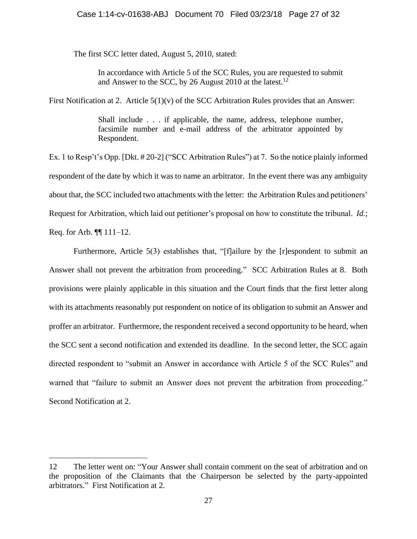## Case 1:14-cv-01638-ABJ Document 70 Filed 03/23/18 Page 27 of 32

The first SCC letter dated, August 5, 2010, stated:

In accordance with Article 5 of the SCC Rules, you are requested to submit and Answer to the SCC, by 26 August 2010 at the latest.<sup>12</sup>

First Notification at 2. Article 5(1)(v) of the SCC Arbitration Rules provides that an Answer:

Shall include . . . if applicable, the name, address, telephone number, facsimile number and e-mail address of the arbitrator appointed by Respondent.

Ex. 1 to Resp't's Opp. [Dkt. # 20-2] ("SCC Arbitration Rules") at 7. So the notice plainly informed respondent of the date by which it was to name an arbitrator. In the event there was any ambiguity about that, the SCC included two attachments with the letter: the Arbitration Rules and petitioners' Request for Arbitration, which laid out petitioner's proposal on how to constitute the tribunal. *Id.*; Req. for Arb. ¶¶ 111–12.

Furthermore, Article 5(3) establishes that, "[f]ailure by the [r]espondent to submit an Answer shall not prevent the arbitration from proceeding." SCC Arbitration Rules at 8.Both provisions were plainly applicable in this situation and the Court finds that the first letter along with its attachments reasonably put respondent on notice of its obligation to submit an Answer and proffer an arbitrator. Furthermore, the respondent received a second opportunity to be heard, when the SCC sent a second notification and extended its deadline. In the second letter, the SCC again directed respondent to "submit an Answer in accordance with Article 5 of the SCC Rules" and warned that "failure to submit an Answer does not prevent the arbitration from proceeding." Second Notification at 2.

<sup>12</sup> The letter went on: "Your Answer shall contain comment on the seat of arbitration and on the proposition of the Claimants that the Chairperson be selected by the party-appointed arbitrators." First Notification at 2.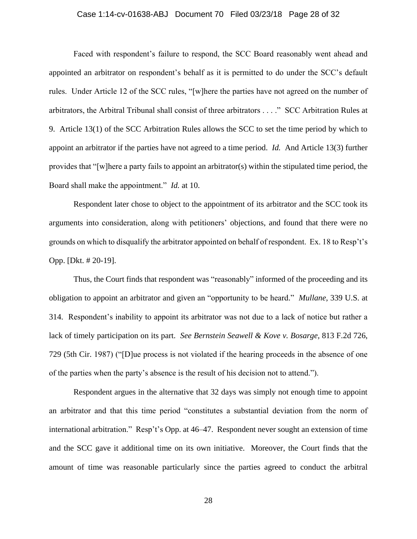#### Case 1:14-cv-01638-ABJ Document 70 Filed 03/23/18 Page 28 of 32

Faced with respondent's failure to respond, the SCC Board reasonably went ahead and appointed an arbitrator on respondent's behalf as it is permitted to do under the SCC's default rules. Under Article 12 of the SCC rules, "[w]here the parties have not agreed on the number of arbitrators, the Arbitral Tribunal shall consist of three arbitrators . . . ." SCC Arbitration Rules at 9. Article 13(1) of the SCC Arbitration Rules allows the SCC to set the time period by which to appoint an arbitrator if the parties have not agreed to a time period. *Id.* And Article 13(3) further provides that "[w]here a party fails to appoint an arbitrator(s) within the stipulated time period, the Board shall make the appointment." *Id.* at 10.

Respondent later chose to object to the appointment of its arbitrator and the SCC took its arguments into consideration, along with petitioners' objections, and found that there were no grounds on which to disqualify the arbitrator appointed on behalf of respondent. Ex. 18 to Resp't's Opp. [Dkt. # 20-19].

Thus, the Court finds that respondent was "reasonably" informed of the proceeding and its obligation to appoint an arbitrator and given an "opportunity to be heard." *Mullane,* 339 U.S. at 314. Respondent's inability to appoint its arbitrator was not due to a lack of notice but rather a lack of timely participation on its part. *See Bernstein Seawell & Kove v. Bosarge,* 813 F.2d 726, 729 (5th Cir. 1987) ("[D]ue process is not violated if the hearing proceeds in the absence of one of the parties when the party's absence is the result of his decision not to attend.").

Respondent argues in the alternative that 32 days was simply not enough time to appoint an arbitrator and that this time period "constitutes a substantial deviation from the norm of international arbitration." Resp't's Opp. at 46–47. Respondent never sought an extension of time and the SCC gave it additional time on its own initiative. Moreover, the Court finds that the amount of time was reasonable particularly since the parties agreed to conduct the arbitral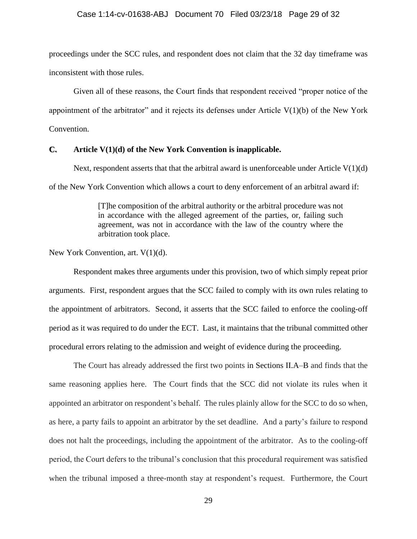proceedings under the SCC rules, and respondent does not claim that the 32 day timeframe was inconsistent with those rules.

Given all of these reasons, the Court finds that respondent received "proper notice of the appointment of the arbitrator" and it rejects its defenses under Article  $V(1)(b)$  of the New York Convention.

### **C. Article V(1)(d) of the New York Convention is inapplicable.**

Next, respondent asserts that that the arbitral award is unenforceable under Article  $V(1)(d)$ of the New York Convention which allows a court to deny enforcement of an arbitral award if:

> [T]he composition of the arbitral authority or the arbitral procedure was not in accordance with the alleged agreement of the parties, or, failing such agreement, was not in accordance with the law of the country where the arbitration took place.

New York Convention, art.  $V(1)(d)$ .

Respondent makes three arguments under this provision, two of which simply repeat prior arguments. First, respondent argues that the SCC failed to comply with its own rules relating to the appointment of arbitrators. Second, it asserts that the SCC failed to enforce the cooling-off period as it was required to do under the ECT. Last, it maintains that the tribunal committed other procedural errors relating to the admission and weight of evidence during the proceeding.

The Court has already addressed the first two points in Sections II.A–B and finds that the same reasoning applies here. The Court finds that the SCC did not violate its rules when it appointed an arbitrator on respondent's behalf. The rules plainly allow for the SCC to do so when, as here, a party fails to appoint an arbitrator by the set deadline. And a party's failure to respond does not halt the proceedings, including the appointment of the arbitrator. As to the cooling-off period, the Court defers to the tribunal's conclusion that this procedural requirement was satisfied when the tribunal imposed a three-month stay at respondent's request. Furthermore, the Court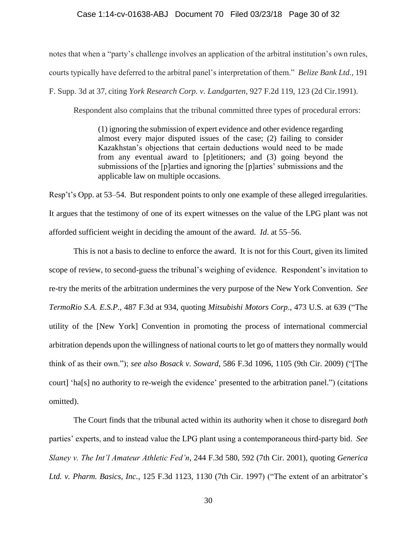### Case 1:14-cv-01638-ABJ Document 70 Filed 03/23/18 Page 30 of 32

notes that when a "party's challenge involves an application of the arbitral institution's own rules,

courts typically have deferred to the arbitral panel's interpretation of them." *Belize Bank Ltd.*, 191

F. Supp. 3d at 37, citing *[York Research Corp. v. Landgarten](https://1.next.westlaw.com/Link/Document/FullText?findType=Y&serNum=1991050663&pubNum=0000350&originatingDoc=I97fe2e402efd11e6a6699ce8baa114cf&refType=RP&fi=co_pp_sp_350_123&originationContext=document&transitionType=DocumentItem&contextData=(sc.Folder*cid.13b6afb3e90a4daf950ff29e9e5a912f*oc.Search)#co_pp_sp_350_123)*, 927 F.2d 119, 123 (2d Cir.1991).

Respondent also complains that the tribunal committed three types of procedural errors:

(1) ignoring the submission of expert evidence and other evidence regarding almost every major disputed issues of the case; (2) failing to consider Kazakhstan's objections that certain deductions would need to be made from any eventual award to [p]etitioners; and (3) going beyond the submissions of the [p]arties and ignoring the [p]arties' submissions and the applicable law on multiple occasions.

Resp't's Opp. at 53–54. But respondent points to only one example of these alleged irregularities. It argues that the testimony of one of its expert witnesses on the value of the LPG plant was not afforded sufficient weight in deciding the amount of the award. *Id*. at 55–56.

This is not a basis to decline to enforce the award. It is not for this Court, given its limited scope of review, to second-guess the tribunal's weighing of evidence. Respondent's invitation to re-try the merits of the arbitration undermines the very purpose of the New York Convention. *See TermoRio S.A. E.S.P.*, 487 F.3d at 934, quoting *Mitsubishi Motors Corp*., 473 U.S. at 639 ("The utility of the [New York] Convention in promoting the process of international commercial arbitration depends upon the willingness of national courts to let go of matters they normally would think of as their own."); *see also Bosack v. Soward*, 586 F.3d 1096, 1105 (9th Cir. 2009) ("[The court] 'ha[s] no authority to re-weigh the evidence' presented to the arbitration panel.") (citations omitted).

The Court finds that the tribunal acted within its authority when it chose to disregard *both*  parties' experts, and to instead value the LPG plant using a contemporaneous third-party bid. *See Slaney v. The Int'l Amateur Athletic Fed'n*, 244 F.3d 580, 592 (7th Cir. 2001), quoting *Generica Ltd. v. Pharm. Basics, Inc.*, 125 F.3d 1123, 1130 (7th Cir. 1997) ("The extent of an arbitrator's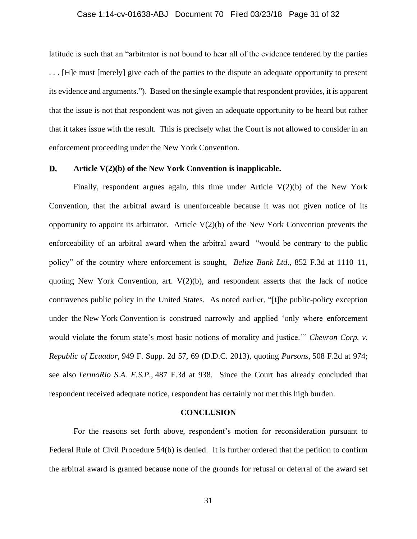### Case 1:14-cv-01638-ABJ Document 70 Filed 03/23/18 Page 31 of 32

latitude is such that an "arbitrator is not bound to hear all of the evidence tendered by the parties . . . [H]e must [merely] give each of the parties to the dispute an adequate opportunity to present its evidence and arguments."). Based on the single example that respondent provides, it is apparent that the issue is not that respondent was not given an adequate opportunity to be heard but rather that it takes issue with the result. This is precisely what the Court is not allowed to consider in an enforcement proceeding under the New York Convention.

# **D. Article V(2)(b) of the New York Convention is inapplicable.**

Finally, respondent argues again, this time under Article V(2)(b) of the New York Convention, that the arbitral award is unenforceable because it was not given notice of its opportunity to appoint its arbitrator. Article  $V(2)(b)$  of the New York Convention prevents the enforceability of an arbitral award when the arbitral award "would be contrary to the public policy" of the country where enforcement is sought, *Belize Bank Ltd*., 852 F.3d at 1110–11, quoting New York Convention, art.  $V(2)(b)$ , and respondent asserts that the lack of notice contravenes public policy in the United States. As noted earlier, "[t]he public-policy exception under the New York Convention is construed narrowly and applied 'only where enforcement would violate the forum state's most basic notions of morality and justice.'" *Chevron Corp. v. Republic of Ecuador*, 949 F. Supp. 2d 57, 69 (D.D.C. 2013), quoting *Parsons*, 508 F.2d at 974; see also *TermoRio S.A. E.S.P*., 487 F.3d at 938. Since the Court has already concluded that respondent received adequate notice, respondent has certainly not met this high burden.

#### **CONCLUSION**

For the reasons set forth above, respondent's motion for reconsideration pursuant to Federal Rule of Civil Procedure 54(b) is denied. It is further ordered that the petition to confirm the arbitral award is granted because none of the grounds for refusal or deferral of the award set

31